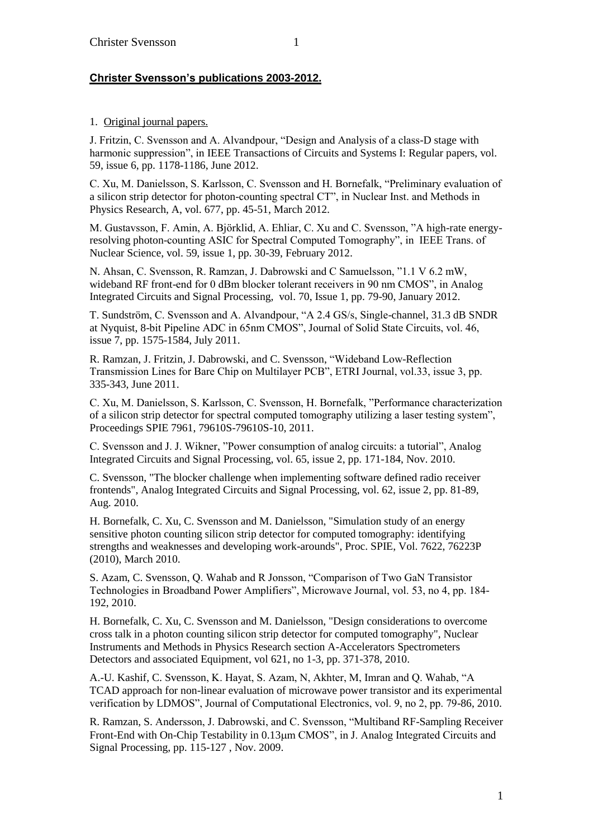1. Original journal papers.

J. Fritzin, C. Svensson and A. Alvandpour, "Design and Analysis of a class-D stage with harmonic suppression", in IEEE Transactions of Circuits and Systems I: Regular papers, vol. 59, issue 6, pp. 1178-1186, June 2012.

C. Xu, M. Danielsson, S. Karlsson, C. Svensson and H. Bornefalk, "Preliminary evaluation of a silicon strip detector for photon-counting spectral CT", in Nuclear Inst. and Methods in Physics Research, A, vol. 677, pp. 45-51, March 2012.

M. Gustavsson, F. Amin, A. Björklid, A. Ehliar, C. Xu and C. Svensson, "A high-rate energyresolving photon-counting ASIC for Spectral Computed Tomography", in IEEE Trans. of Nuclear Science, vol. 59, issue 1, pp. 30-39, February 2012.

N. Ahsan, C. Svensson, R. Ramzan, J. Dabrowski and C Samuelsson, "1.1 V 6.2 mW, wideband RF front-end for 0 dBm blocker tolerant receivers in 90 nm CMOS", in Analog Integrated Circuits and Signal Processing, vol. 70, Issue 1, pp. 79-90, January 2012.

T. Sundström, C. Svensson and A. Alvandpour, "A 2.4 GS/s, Single-channel, 31.3 dB SNDR at Nyquist, 8-bit Pipeline ADC in 65nm CMOS", Journal of Solid State Circuits, vol. 46, issue 7, pp. 1575-1584, July 2011.

R. Ramzan, J. Fritzin, J. Dabrowski, and C. Svensson, "Wideband Low-Reflection Transmission Lines for Bare Chip on Multilayer PCB", ETRI Journal, vol.33, issue 3, pp. 335-343, June 2011.

C. Xu, M. Danielsson, S. Karlsson, C. Svensson, H. Bornefalk, "Performance characterization of a silicon strip detector for spectral computed tomography utilizing a laser testing system", Proceedings SPIE 7961, 79610S-79610S-10, 2011.

C. Svensson and J. J. Wikner, "Power consumption of analog circuits: a tutorial", Analog Integrated Circuits and Signal Processing, vol. 65, issue 2, pp. 171-184, Nov. 2010.

C. Svensson, "The blocker challenge when implementing software defined radio receiver frontends", Analog Integrated Circuits and Signal Processing, vol. 62, issue 2, pp. 81-89, Aug. 2010.

H. Bornefalk, C. Xu, C. Svensson and M. Danielsson, "Simulation study of an energy sensitive photon counting silicon strip detector for computed tomography: identifying strengths and weaknesses and developing work-arounds", Proc. SPIE, Vol. 7622, 76223P (2010), March 2010.

S. Azam, C. Svensson, Q. Wahab and R Jonsson, "Comparison of Two GaN Transistor Technologies in Broadband Power Amplifiers", Microwave Journal, vol. 53, no 4, pp. 184- 192, 2010.

H. Bornefalk, C. Xu, C. Svensson and M. Danielsson, "Design considerations to overcome cross talk in a photon counting silicon strip detector for computed tomography", Nuclear Instruments and Methods in Physics Research section A-Accelerators Spectrometers Detectors and associated Equipment, vol 621, no 1-3, pp. 371-378, 2010.

A.-U. Kashif, C. Svensson, K. Hayat, S. Azam, N, Akhter, M, Imran and Q. Wahab, "A TCAD approach for non-linear evaluation of microwave power transistor and its experimental verification by LDMOS", Journal of Computational Electronics, vol. 9, no 2, pp. 79-86, 2010.

R. Ramzan, S. Andersson, J. Dabrowski, and C. Svensson, "Multiband RF-Sampling Receiver Front-End with On-Chip Testability in 0.13m CMOS", in J. Analog Integrated Circuits and Signal Processing, pp. 115-127 , Nov. 2009.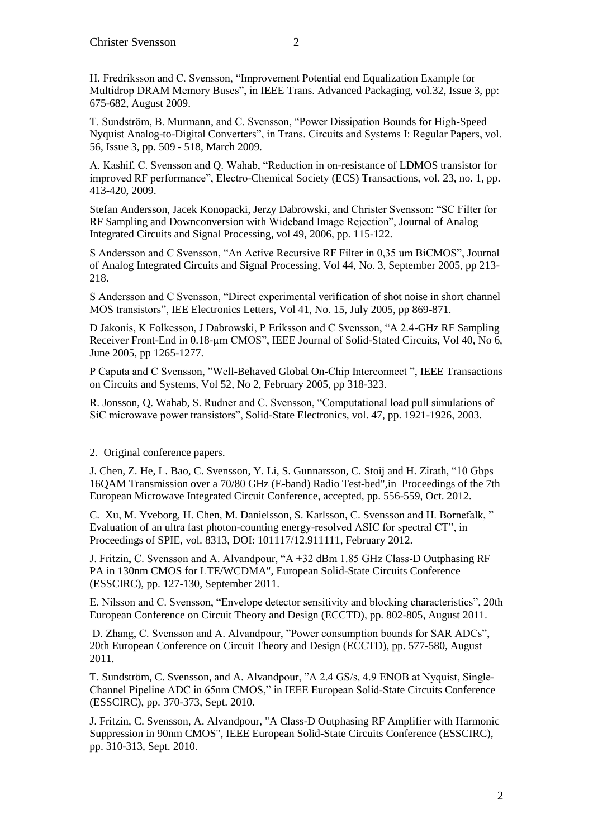T. Sundström, B. Murmann, and C. Svensson, "Power Dissipation Bounds for High-Speed Nyquist Analog-to-Digital Converters", in Trans. Circuits and Systems I: Regular Papers, vol. 56, Issue 3, pp. 509 - 518, March 2009.

A. Kashif, C. Svensson and Q. Wahab, "Reduction in on-resistance of LDMOS transistor for improved RF performance", Electro-Chemical Society (ECS) Transactions, vol. 23, no. 1, pp. 413-420, 2009.

Stefan Andersson, Jacek Konopacki, Jerzy Dabrowski, and Christer Svensson: "SC Filter for RF Sampling and Downconversion with Wideband Image Rejection", Journal of Analog Integrated Circuits and Signal Processing, vol 49, 2006, pp. 115-122.

S Andersson and C Svensson, "An Active Recursive RF Filter in 0,35 um BiCMOS", Journal of Analog Integrated Circuits and Signal Processing, Vol 44, No. 3, September 2005, pp 213- 218.

S Andersson and C Svensson, "Direct experimental verification of shot noise in short channel MOS transistors", IEE Electronics Letters, Vol 41, No. 15, July 2005, pp 869-871.

D Jakonis, K Folkesson, J Dabrowski, P Eriksson and C Svensson, "A 2.4-GHz RF Sampling Receiver Front-End in 0.18-um CMOS", IEEE Journal of Solid-Stated Circuits, Vol 40, No 6, June 2005, pp 1265-1277.

P Caputa and C Svensson, "Well-Behaved Global On-Chip Interconnect ", IEEE Transactions on Circuits and Systems, Vol 52, No 2, February 2005, pp 318-323.

R. Jonsson, Q. Wahab, S. Rudner and C. Svensson, "Computational load pull simulations of SiC microwave power transistors", Solid-State Electronics, vol. 47, pp. 1921-1926, 2003.

## 2. Original conference papers.

J. Chen, Z. He, L. Bao, C. Svensson, Y. Li, S. Gunnarsson, C. Stoij and H. Zirath, "10 Gbps 16QAM Transmission over a 70/80 GHz (E-band) Radio Test-bed",in Proceedings of the 7th European Microwave Integrated Circuit Conference, accepted, pp. 556-559, Oct. 2012.

C. Xu, M. Yveborg, H. Chen, M. Danielsson, S. Karlsson, C. Svensson and H. Bornefalk, " Evaluation of an ultra fast photon-counting energy-resolved ASIC for spectral CT", in Proceedings of SPIE, vol. 8313, DOI: 101117/12.911111, February 2012.

J. Fritzin, C. Svensson and A. Alvandpour, "A +32 dBm 1.85 GHz Class-D Outphasing RF PA in 130nm CMOS for LTE/WCDMA", European Solid-State Circuits Conference (ESSCIRC), pp. 127-130, September 2011.

E. Nilsson and C. Svensson, "Envelope detector sensitivity and blocking characteristics", 20th European Conference on Circuit Theory and Design (ECCTD), pp. 802-805, August 2011.

D. Zhang, C. Svensson and A. Alvandpour, "Power consumption bounds for SAR ADCs", 20th European Conference on Circuit Theory and Design (ECCTD), pp. 577-580, August 2011.

T. Sundström, C. Svensson, and A. Alvandpour, "A 2.4 GS/s, 4.9 ENOB at Nyquist, Single-Channel Pipeline ADC in 65nm CMOS," in IEEE European Solid-State Circuits Conference (ESSCIRC), pp. 370-373, Sept. 2010.

J. Fritzin, C. Svensson, A. Alvandpour, "A Class-D Outphasing RF Amplifier with Harmonic Suppression in 90nm CMOS", IEEE European Solid-State Circuits Conference (ESSCIRC), pp. 310-313, Sept. 2010.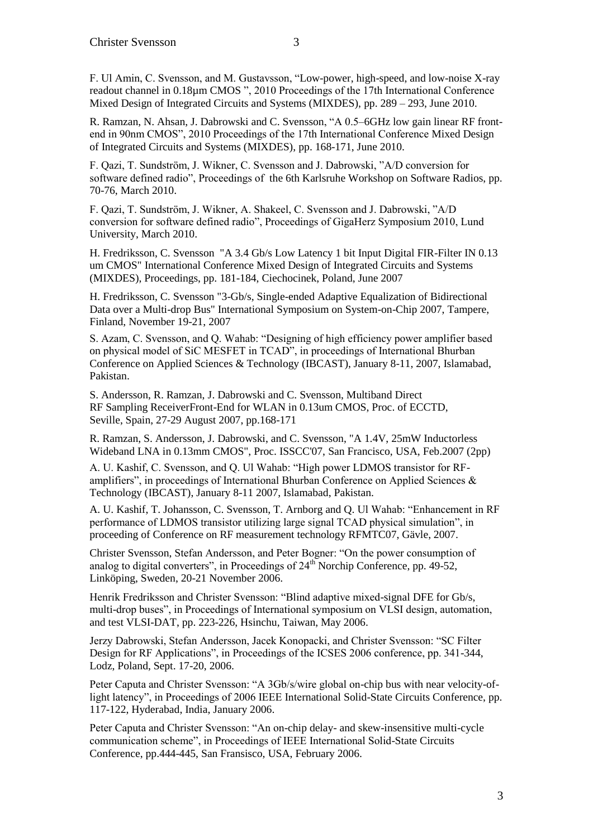F. Ul Amin, C. Svensson, and M. Gustavsson, ["Low-power, high-speed, and low-noise X-ray](http://ieeexplore.ieee.org.lt.ltag.bibl.liu.se/search/srchabstract.jsp?tp=&arnumber=5551667&queryText%3D%28Authors%3AC+Svensson%29%26refinements%3D4294967270%2C4294967131%2C4285523460%26openedRefinements%3D*%26ranges%3D2009_2011_Publication_Year%26matchBoolean%3Dtrue%26searchField%3DSearch+All)  [readout channel in 0.18µm CMOS "](http://ieeexplore.ieee.org.lt.ltag.bibl.liu.se/search/srchabstract.jsp?tp=&arnumber=5551667&queryText%3D%28Authors%3AC+Svensson%29%26refinements%3D4294967270%2C4294967131%2C4285523460%26openedRefinements%3D*%26ranges%3D2009_2011_Publication_Year%26matchBoolean%3Dtrue%26searchField%3DSearch+All), 2010 Proceedings of the 17th International Conference [Mixed Design of Integrated Circuits and Systems \(MIXDES\), p](http://ieeexplore.ieee.org.lt.ltag.bibl.liu.se/xpl/mostRecentIssue.jsp?punumber=5543946)p. 289 – 293, June 2010.

R. Ramzan, N. Ahsan, J. Dabrowski and C. Svensson, "A 0.5–6GHz low gain linear RF frontend in 90nm CMOS", 2010 Proceedings of the 17th International Conference [Mixed Design](http://ieeexplore.ieee.org.lt.ltag.bibl.liu.se/xpl/mostRecentIssue.jsp?punumber=5543946)  [of Integrated Circuits and Systems \(MIXDES\), p](http://ieeexplore.ieee.org.lt.ltag.bibl.liu.se/xpl/mostRecentIssue.jsp?punumber=5543946)p. 168-171, June 2010.

F. Qazi, T. Sundström, J. Wikner, C. Svensson and J. Dabrowski, "A/D conversion for software defined radio", Proceedings of the 6th Karlsruhe Workshop on Software Radios, pp. 70-76, March 2010.

F. Qazi, T. Sundström, J. Wikner, A. Shakeel, C. Svensson and J. Dabrowski, "A/D conversion for software defined radio", Proceedings of GigaHerz Symposium 2010, Lund University, March 2010.

H. Fredriksson, C. Svensson "A 3.4 Gb/s Low Latency 1 bit Input Digital FIR-Filter IN 0.13 um CMOS" International Conference Mixed Design of Integrated Circuits and Systems (MIXDES), Proceedings, pp. 181-184, Ciechocinek, Poland, June 2007

H. Fredriksson, C. Svensson "3-Gb/s, Single-ended Adaptive Equalization of Bidirectional Data over a Multi-drop Bus" International Symposium on System-on-Chip 2007, Tampere, Finland, November 19-21, 2007

S. Azam, C. Svensson, and Q. Wahab: "Designing of high efficiency power amplifier based on physical model of SiC MESFET in TCAD", in proceedings of International Bhurban Conference on Applied Sciences & Technology (IBCAST), January 8-11, 2007, Islamabad, Pakistan.

S. Andersson, R. Ramzan, J. Dabrowski and C. Svensson, Multiband Direct RF Sampling ReceiverFront-End for WLAN in 0.13um CMOS, Proc. of ECCTD, Seville, Spain, 27-29 August 2007, pp.168-171

R. Ramzan, S. Andersson, J. Dabrowski, and C. Svensson, "A 1.4V, 25mW Inductorless Wideband LNA in 0.13mm CMOS", Proc. ISSCC'07, San Francisco, USA, Feb.2007 (2pp)

A. U. Kashif, C. Svensson, and Q. Ul Wahab: "High power LDMOS transistor for RFamplifiers", in proceedings of International Bhurban Conference on Applied Sciences & Technology (IBCAST), January 8-11 2007, Islamabad, Pakistan.

A. U. Kashif, T. Johansson, C. Svensson, T. Arnborg and Q. Ul Wahab: "Enhancement in RF performance of LDMOS transistor utilizing large signal TCAD physical simulation", in proceeding of Conference on RF measurement technology RFMTC07, Gävle, 2007.

Christer Svensson, Stefan Andersson, and Peter Bogner: "On the power consumption of analog to digital converters", in Proceedings of  $24<sup>th</sup>$  Norchip Conference, pp. 49-52, Linköping, Sweden, 20-21 November 2006.

Henrik Fredriksson and Christer Svensson: "Blind adaptive mixed-signal DFE for Gb/s, multi-drop buses", in Proceedings of International symposium on VLSI design, automation, and test VLSI-DAT, pp. 223-226, Hsinchu, Taiwan, May 2006.

Jerzy Dabrowski, Stefan Andersson, Jacek Konopacki, and Christer Svensson: "SC Filter Design for RF Applications", in Proceedings of the ICSES 2006 conference, pp. 341-344, Lodz, Poland, Sept. 17-20, 2006.

Peter Caputa and Christer Svensson: "A 3Gb/s/wire global on-chip bus with near velocity-oflight latency", in Proceedings of 2006 IEEE International Solid-State Circuits Conference, pp. 117-122, Hyderabad, India, January 2006.

Peter Caputa and Christer Svensson: "An on-chip delay- and skew-insensitive multi-cycle communication scheme", in Proceedings of IEEE International Solid-State Circuits Conference, pp.444-445, San Fransisco, USA, February 2006.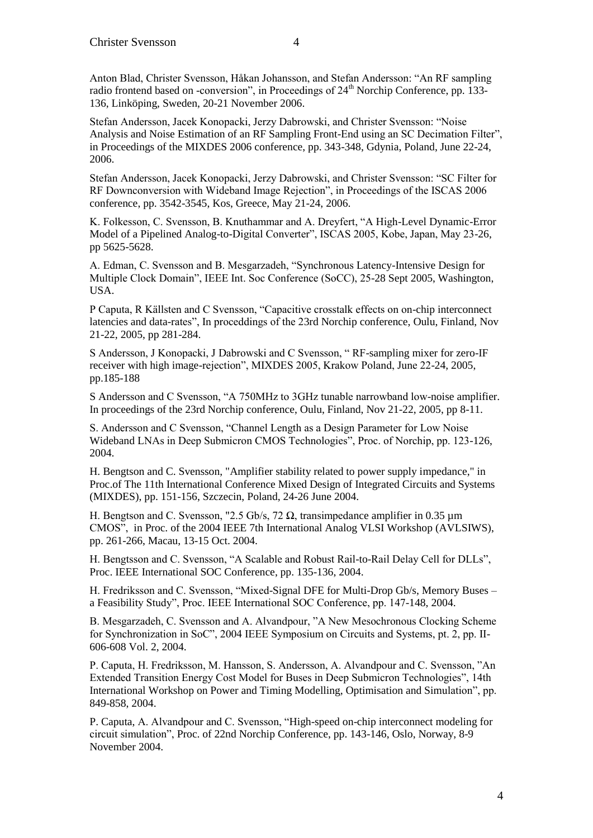Anton Blad, Christer Svensson, Håkan Johansson, and Stefan Andersson: "An RF sampling radio frontend based on -conversion", in Proceedings of  $24<sup>th</sup>$  Norchip Conference, pp. 133-136, Linköping, Sweden, 20-21 November 2006.

Stefan Andersson, Jacek Konopacki, Jerzy Dabrowski, and Christer Svensson: "Noise Analysis and Noise Estimation of an RF Sampling Front-End using an SC Decimation Filter", in Proceedings of the MIXDES 2006 conference, pp. 343-348, Gdynia, Poland, June 22-24, 2006.

Stefan Andersson, Jacek Konopacki, Jerzy Dabrowski, and Christer Svensson: "SC Filter for RF Downconversion with Wideband Image Rejection", in Proceedings of the ISCAS 2006 conference, pp. 3542-3545, Kos, Greece, May 21-24, 2006.

K. Folkesson, C. Svensson, B. Knuthammar and A. Dreyfert, "A High-Level Dynamic-Error Model of a Pipelined Analog-to-Digital Converter", ISCAS 2005, Kobe, Japan, May 23-26, pp 5625-5628.

A. Edman, C. Svensson and B. Mesgarzadeh, "Synchronous Latency-Intensive Design for Multiple Clock Domain", IEEE Int. Soc Conference (SoCC), 25-28 Sept 2005, Washington, USA.

P Caputa, R Källsten and C Svensson, "Capacitive crosstalk effects on on-chip interconnect latencies and data-rates", In proceddings of the 23rd Norchip conference, Oulu, Finland, Nov 21-22, 2005, pp 281-284.

S Andersson, J Konopacki, J Dabrowski and C Svensson, " RF-sampling mixer for zero-IF receiver with high image-rejection", MIXDES 2005, Krakow Poland, June 22-24, 2005, pp.185-188

S Andersson and C Svensson, "A 750MHz to 3GHz tunable narrowband low-noise amplifier. In proceedings of the 23rd Norchip conference, Oulu, Finland, Nov 21-22, 2005, pp 8-11.

S. Andersson and C Svensson, "Channel Length as a Design Parameter for Low Noise Wideband LNAs in Deep Submicron CMOS Technologies", Proc. of Norchip, pp. 123-126, 2004.

H. Bengtson and C. Svensson, "Amplifier stability related to power supply impedance," in Proc.of The 11th International Conference Mixed Design of Integrated Circuits and Systems (MIXDES), pp. 151-156, Szczecin, Poland, 24-26 June 2004.

H. Bengtson and C. Svensson, "2.5 Gb/s, 72  $\Omega$ , transimpedance amplifier in 0.35 µm CMOS", in Proc. of the 2004 IEEE 7th International Analog VLSI Workshop (AVLSIWS), pp. 261-266, Macau, 13-15 Oct. 2004.

H. Bengtsson and C. Svensson, "A Scalable and Robust Rail-to-Rail Delay Cell for DLLs", Proc. IEEE International SOC Conference, pp. 135-136, 2004.

H. Fredriksson and C. Svensson, "Mixed-Signal DFE for Multi-Drop Gb/s, Memory Buses – a Feasibility Study", Proc. IEEE International SOC Conference, pp. 147-148, 2004.

B. Mesgarzadeh, C. Svensson and A. Alvandpour, "A New Mesochronous Clocking Scheme for Synchronization in SoC", 2004 IEEE Symposium on Circuits and Systems, pt. 2, pp. II-606-608 Vol. 2, 2004.

P. Caputa, H. Fredriksson, M. Hansson, S. Andersson, A. Alvandpour and C. Svensson, "An Extended Transition Energy Cost Model for Buses in Deep Submicron Technologies", 14th International Workshop on Power and Timing Modelling, Optimisation and Simulation", pp. 849-858, 2004.

P. Caputa, A. Alvandpour and C. Svensson, "High-speed on-chip interconnect modeling for circuit simulation", Proc. of 22nd Norchip Conference, pp. 143-146, Oslo, Norway, 8-9 November 2004.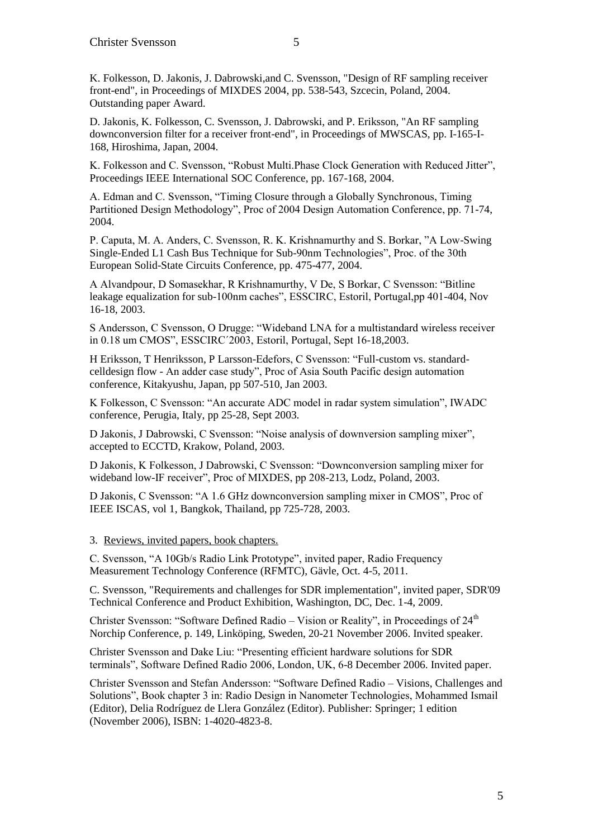K. Folkesson, D. Jakonis, J. Dabrowski,and C. Svensson, "Design of RF sampling receiver front-end", in Proceedings of MIXDES 2004, pp. 538-543, Szcecin, Poland, 2004. Outstanding paper Award.

D. Jakonis, K. Folkesson, C. Svensson, J. Dabrowski, and P. Eriksson, "An RF sampling downconversion filter for a receiver front-end", in Proceedings of MWSCAS, pp. I-165-I-168, Hiroshima, Japan, 2004.

K. Folkesson and C. Svensson, "Robust Multi.Phase Clock Generation with Reduced Jitter", Proceedings IEEE International SOC Conference, pp. 167-168, 2004.

A. Edman and C. Svensson, "Timing Closure through a Globally Synchronous, Timing Partitioned Design Methodology", Proc of 2004 Design Automation Conference, pp. 71-74, 2004.

P. Caputa, M. A. Anders, C. Svensson, R. K. Krishnamurthy and S. Borkar, "A Low-Swing Single-Ended L1 Cash Bus Technique for Sub-90nm Technologies", Proc. of the 30th European Solid-State Circuits Conference, pp. 475-477, 2004.

A Alvandpour, D Somasekhar, R Krishnamurthy, V De, S Borkar, C Svensson: "Bitline leakage equalization for sub-100nm caches", ESSCIRC, Estoril, Portugal,pp 401-404, Nov 16-18, 2003.

S Andersson, C Svensson, O Drugge: "Wideband LNA for a multistandard wireless receiver in 0.18 um CMOS", ESSCIRC´2003, Estoril, Portugal, Sept 16-18,2003.

H Eriksson, T Henriksson, P Larsson-Edefors, C Svensson: "Full-custom vs. standardcelldesign flow - An adder case study", Proc of Asia South Pacific design automation conference, Kitakyushu, Japan, pp 507-510, Jan 2003.

K Folkesson, C Svensson: "An accurate ADC model in radar system simulation", IWADC conference, Perugia, Italy, pp 25-28, Sept 2003.

D Jakonis, J Dabrowski, C Svensson: "Noise analysis of downversion sampling mixer", accepted to ECCTD, Krakow, Poland, 2003.

D Jakonis, K Folkesson, J Dabrowski, C Svensson: "Downconversion sampling mixer for wideband low-IF receiver", Proc of MIXDES, pp 208-213, Lodz, Poland, 2003.

D Jakonis, C Svensson: "A 1.6 GHz downconversion sampling mixer in CMOS", Proc of IEEE ISCAS, vol 1, Bangkok, Thailand, pp 725-728, 2003.

3. Reviews, invited papers, book chapters.

C. Svensson, "A 10Gb/s Radio Link Prototype", invited paper, Radio Frequency Measurement Technology Conference (RFMTC), Gävle, Oct. 4-5, 2011.

C. Svensson, "Requirements and challenges for SDR implementation", invited paper, SDR'09 Technical Conference and Product Exhibition, Washington, DC, Dec. 1-4, 2009.

Christer Svensson: "Software Defined Radio – Vision or Reality", in Proceedings of  $24<sup>th</sup>$ Norchip Conference, p. 149, Linköping, Sweden, 20-21 November 2006. Invited speaker.

Christer Svensson and Dake Liu: "Presenting efficient hardware solutions for SDR terminals", Software Defined Radio 2006, London, UK, 6-8 December 2006. Invited paper.

Christer Svensson and Stefan Andersson: "Software Defined Radio – Visions, Challenges and Solutions", Book chapter 3 in: Radio Design in Nanometer Technologies, Mohammed Ismail (Editor), Delia Rodríguez de Llera González (Editor). Publisher: Springer; 1 edition (November 2006), ISBN: 1-4020-4823-8.